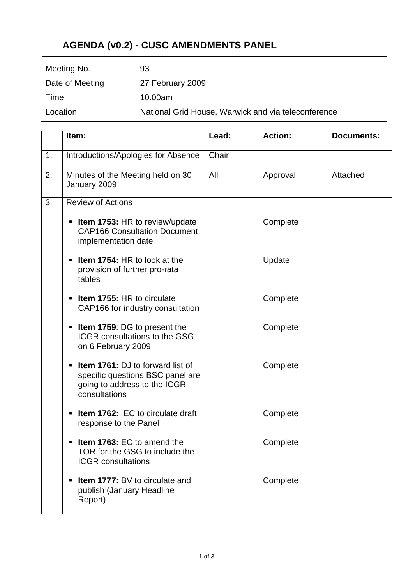# **AGENDA (v0.2) - CUSC AMENDMENTS PANEL**

| 93                                                  |
|-----------------------------------------------------|
| 27 February 2009                                    |
| 10.00am                                             |
| National Grid House, Warwick and via teleconference |
|                                                     |

|    | Item:                                                                                                                              | Lead: | <b>Action:</b> | <b>Documents:</b> |
|----|------------------------------------------------------------------------------------------------------------------------------------|-------|----------------|-------------------|
| 1. | Introductions/Apologies for Absence                                                                                                | Chair |                |                   |
| 2. | Minutes of the Meeting held on 30<br>January 2009                                                                                  | All   | Approval       | Attached          |
| 3. | <b>Review of Actions</b>                                                                                                           |       |                |                   |
|    | <b>Item 1753: HR to review/update</b><br><b>CAP166 Consultation Document</b><br>implementation date                                |       | Complete       |                   |
|    | <b>Item 1754: HR to look at the</b><br>٠<br>provision of further pro-rata<br>tables                                                |       | Update         |                   |
|    | <b>Item 1755: HR to circulate</b><br>П<br>CAP166 for industry consultation                                                         |       | Complete       |                   |
|    | Item 1759: DG to present the<br>٠<br><b>ICGR</b> consultations to the GSG<br>on 6 February 2009                                    |       | Complete       |                   |
|    | <b>Item 1761:</b> DJ to forward list of<br>π.<br>specific questions BSC panel are<br>going to address to the ICGR<br>consultations |       | Complete       |                   |
|    | Item 1762: EC to circulate draft<br>٠<br>response to the Panel                                                                     |       | Complete       |                   |
|    | Item 1763: EC to amend the<br>TOR for the GSG to include the<br><b>ICGR</b> consultations                                          |       | Complete       |                   |
|    | <b>Item 1777: BV to circulate and</b><br>٠<br>publish (January Headline<br>Report)                                                 |       | Complete       |                   |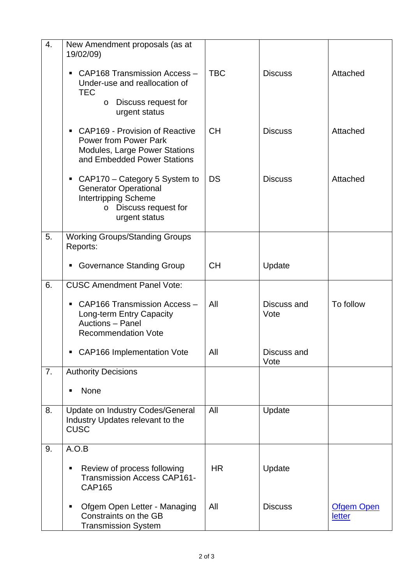| 4. | New Amendment proposals (as at<br>19/02/09)                                                                                                 |            |                     |                             |
|----|---------------------------------------------------------------------------------------------------------------------------------------------|------------|---------------------|-----------------------------|
|    | CAP168 Transmission Access -<br>п<br>Under-use and reallocation of<br><b>TEC</b><br>Discuss request for<br>$\circ$<br>urgent status         | <b>TBC</b> | <b>Discuss</b>      | Attached                    |
|    | • CAP169 - Provision of Reactive<br><b>Power from Power Park</b><br><b>Modules, Large Power Stations</b><br>and Embedded Power Stations     | <b>CH</b>  | <b>Discuss</b>      | Attached                    |
|    | CAP170 – Category 5 System to<br>п<br><b>Generator Operational</b><br><b>Intertripping Scheme</b><br>o Discuss request for<br>urgent status | <b>DS</b>  | <b>Discuss</b>      | Attached                    |
| 5. | <b>Working Groups/Standing Groups</b><br>Reports:                                                                                           |            |                     |                             |
|    | <b>Governance Standing Group</b><br>٠                                                                                                       | <b>CH</b>  | Update              |                             |
| 6. | <b>CUSC Amendment Panel Vote:</b>                                                                                                           |            |                     |                             |
|    | CAP166 Transmission Access -<br>٠<br>Long-term Entry Capacity<br>Auctions - Panel<br><b>Recommendation Vote</b>                             | All        | Discuss and<br>Vote | To follow                   |
|    | • CAP166 Implementation Vote                                                                                                                | All        | Discuss and<br>Vote |                             |
| 7. | <b>Authority Decisions</b>                                                                                                                  |            |                     |                             |
|    | None<br>п                                                                                                                                   |            |                     |                             |
| 8. | Update on Industry Codes/General<br>Industry Updates relevant to the<br><b>CUSC</b>                                                         | All        | Update              |                             |
| 9. | A.O.B                                                                                                                                       |            |                     |                             |
|    | Review of process following<br>п<br><b>Transmission Access CAP161-</b><br><b>CAP165</b>                                                     | <b>HR</b>  | Update              |                             |
|    | Ofgem Open Letter - Managing<br>п<br>Constraints on the GB<br><b>Transmission System</b>                                                    | All        | <b>Discuss</b>      | <b>Ofgem Open</b><br>letter |